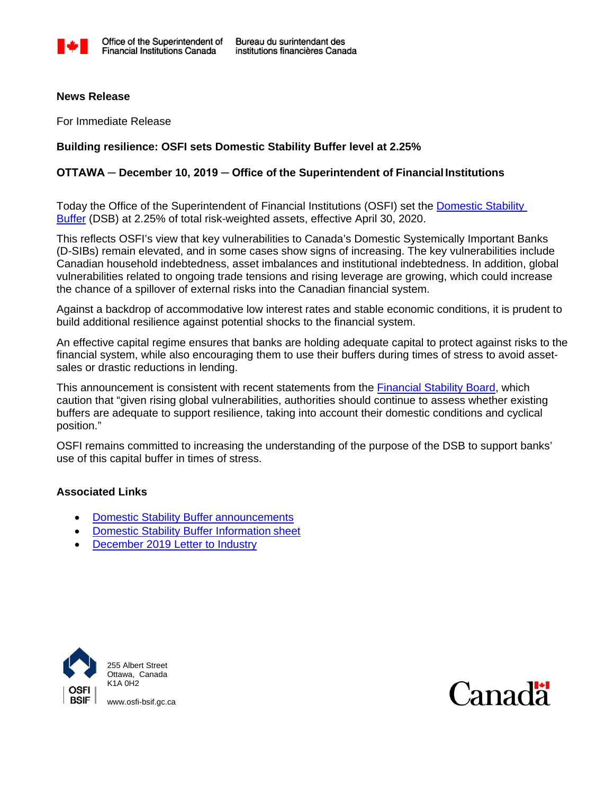

#### **News Release**

For Immediate Release

## **Building resilience: OSFI sets Domestic Stability Buffer level at 2.25%**

# **OTTAWA ─ December 10, 2019 ─ Office of the Superintendent of FinancialInstitutions**

Today the Office of the Superintendent of Financial Institutions (OSFI) set the [Domestic Stability](http://www.osfi-bsif.gc.ca/Eng/fi-if/in-ai/Pages/dsb-idx.aspx) [Buffer](http://www.osfi-bsif.gc.ca/Eng/fi-if/in-ai/Pages/dsb-idx.aspx) (DSB) at 2.25% of total risk-weighted assets, effective April 30, 2020.

This reflects OSFI's view that key vulnerabilities to Canada's Domestic Systemically Important Banks (D-SIBs) remain elevated, and in some cases show signs of increasing. The key vulnerabilities include Canadian household indebtedness, asset imbalances and institutional indebtedness. In addition, global vulnerabilities related to ongoing trade tensions and rising leverage are growing, which could increase the chance of a spillover of external risks into the Canadian financial system.

Against a backdrop of accommodative low interest rates and stable economic conditions, it is prudent to build additional resilience against potential shocks to the financial system.

An effective capital regime ensures that banks are holding adequate capital to protect against risks to the financial system, while also encouraging them to use their buffers during times of stress to avoid assetsales or drastic reductions in lending.

This announcement is consistent with recent statements from the [Financial Stability Board,](https://www.fsb.org/2019/11/fsb-plenary-meets-in-paris/) which caution that "given rising global vulnerabilities, authorities should continue to assess whether existing buffers are adequate to support resilience, taking into account their domestic conditions and cyclical position."

OSFI remains committed to increasing the understanding of the purpose of the DSB to support banks' use of this capital buffer in times of stress.

## **Associated Links**

- [Domestic Stability Buffer](http://www.osfi-bsif.gc.ca/Eng/fi-if/in-ai/Pages/dsb-idx.aspx) announcements
- [Domestic Stability Buffer Information](http://www.osfi-bsif.gc.ca/eng/fi-if/in-ai/Pages/dsb-nfo.aspx) sheet
- December [2019 Letter to Industry](http://www.osfi-bsif.gc.ca/Eng/fi-if/in-ai/Pages/dsb20191210-let.aspx)



255 Albert Street Ottawa, Canada K1A 0H2



[www.osfi-bsif.gc.ca](http://www.osfi-bsif.gc.ca/)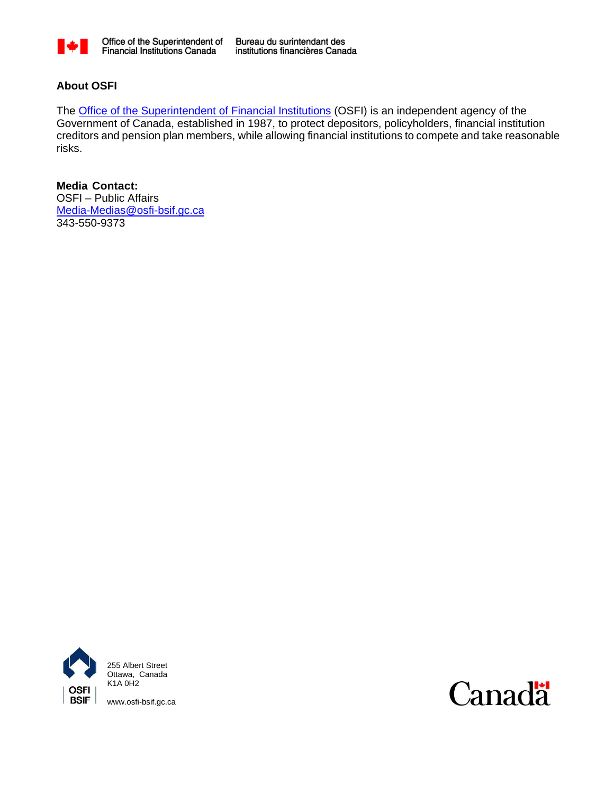

Bureau du surintendant des institutions financières Canada

# **About OSFI**

The **Office of the Superintendent of Financial Institutions** (OSFI) is an independent agency of the Government of Canada, established in 1987, to protect depositors, policyholders, financial institution creditors and pension plan members, while allowing financial institutions to compete and take reasonable risks.

**Media Contact:** OSFI – Public Affairs [Media-Medias@osfi-bsif.gc.ca](mailto:Media-Medias@osfi-bsif.gc.ca) 343-550-9373



255 Albert Street Ottawa, Canada K1A 0H2

[www.osfi-bsif.gc.ca](http://www.osfi-bsif.gc.ca/)